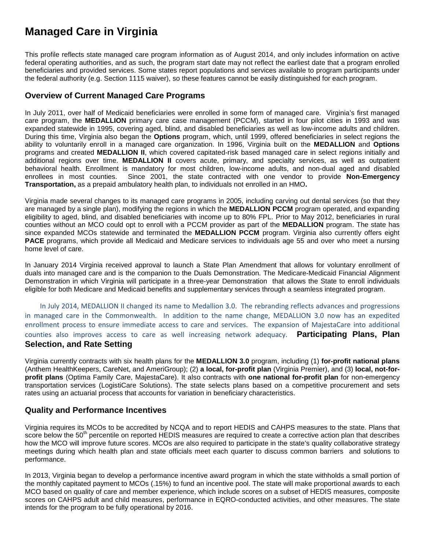## **Managed Care in Virginia**

This profile reflects state managed care program information as of August 2014, and only includes information on active federal operating authorities, and as such, the program start date may not reflect the earliest date that a program enrolled beneficiaries and provided services. Some states report populations and services available to program participants under the federal authority (e.g. Section 1115 waiver), so these features cannot be easily distinguished for each program.

## **Overview of Current Managed Care Programs**

In July 2011, over half of Medicaid beneficiaries were enrolled in some form of managed care. Virginia's first managed care program, the **MEDALLION** primary care case management (PCCM), started in four pilot cities in 1993 and was expanded statewide in 1995, covering aged, blind, and disabled beneficiaries as well as low-income adults and children. During this time, Virginia also began the **Options** program, which, until 1999, offered beneficiaries in select regions the ability to voluntarily enroll in a managed care organization. In 1996, Virginia built on the **MEDALLION** and **Options** programs and created **MEDALLION II**, which covered capitated-risk based managed care in select regions initially and additional regions over time. **MEDALLION II** covers acute, primary, and specialty services, as well as outpatient behavioral health. Enrollment is mandatory for most children, low-income adults, and non-dual aged and disabled enrollees in most counties. Since 2001, the state contracted with one vendor to provide **Non-Emergency Transportation,** as a prepaid ambulatory health plan, to individuals not enrolled in an HMO**.** 

Virginia made several changes to its managed care programs in 2005, including carving out dental services (so that they are managed by a single plan), modifying the regions in which the **MEDALLION PCCM** program operated, and expanding eligibility to aged, blind, and disabled beneficiaries with income up to 80% FPL. Prior to May 2012, beneficiaries in rural counties without an MCO could opt to enroll with a PCCM provider as part of the **MEDALLION** program. The state has since expanded MCOs statewide and terminated the **MEDALLION PCCM** program. Virginia also currently offers eight **PACE** programs, which provide all Medicaid and Medicare services to individuals age 55 and over who meet a nursing home level of care.

In January 2014 Virginia received approval to launch a State Plan Amendment that allows for voluntary enrollment of duals into managed care and is the companion to the Duals Demonstration. The Medicare-Medicaid Financial Alignment Demonstration in which Virginia will participate in a three-year Demonstration that allows the State to enroll individuals eligible for both Medicare and Medicaid benefits and supplementary services through a seamless integrated program.

In July 2014, MEDALLION II changed its name to Medallion 3.0. The rebranding reflects advances and progressions in managed care in the Commonwealth. In addition to the name change, MEDALLION 3.0 now has an expedited enrollment process to ensure immediate access to care and services. The expansion of MajestaCare into additional counties also improves access to care as well increasing network adequacy. **Participating Plans, Plan Selection, and Rate Setting**

Virginia currently contracts with six health plans for the **MEDALLION 3.0** program, including (1) **for-profit national plans** (Anthem HealthKeepers, CareNet, and AmeriGroup); (2) **a local, for-profit plan** (Virginia Premier), and (3) **local, not-forprofit plans** (Optima Family Care, MajestaCare). It also contracts with **one national for-profit plan** for non-emergency transportation services (LogistiCare Solutions). The state selects plans based on a competitive procurement and sets rates using an actuarial process that accounts for variation in beneficiary characteristics.

## **Quality and Performance Incentives**

Virginia requires its MCOs to be accredited by NCQA and to report HEDIS and CAHPS measures to the state. Plans that score below the 50<sup>th</sup> percentile on reported HEDIS measures are required to create a corrective action plan that describes how the MCO will improve future scores. MCOs are also required to participate in the state's quality collaborative strategy meetings during which health plan and state officials meet each quarter to discuss common barriers and solutions to performance.

In 2013, Virginia began to develop a performance incentive award program in which the state withholds a small portion of the monthly capitated payment to MCOs (.15%) to fund an incentive pool. The state will make proportional awards to each MCO based on quality of care and member experience, which include scores on a subset of HEDIS measures, composite scores on CAHPS adult and child measures, performance in EQRO-conducted activities, and other measures. The state intends for the program to be fully operational by 2016.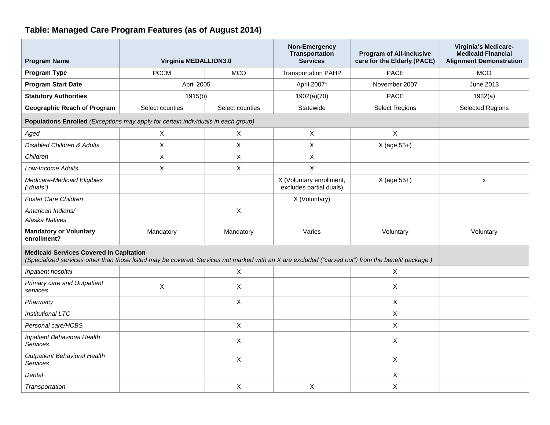## **Table: Managed Care Program Features (as of August 2014)**

| <b>Program Name</b>                                                                                                                                                                                  | Virginia MEDALLION3.0 |                 | Non-Emergency<br><b>Transportation</b><br><b>Services</b> | <b>Program of All-inclusive</b><br>care for the Elderly (PACE) | Virginia's Medicare-<br><b>Medicaid Financial</b><br><b>Alignment Demonstration</b> |
|------------------------------------------------------------------------------------------------------------------------------------------------------------------------------------------------------|-----------------------|-----------------|-----------------------------------------------------------|----------------------------------------------------------------|-------------------------------------------------------------------------------------|
| Program Type                                                                                                                                                                                         | <b>PCCM</b>           | <b>MCO</b>      | <b>Transportation PAHP</b>                                | <b>PACE</b>                                                    | <b>MCO</b>                                                                          |
| <b>Program Start Date</b>                                                                                                                                                                            | April 2005            |                 | April 2007*                                               | November 2007                                                  | June 2013                                                                           |
| <b>Statutory Authorities</b>                                                                                                                                                                         | 1915(b)               |                 | 1902(a)(70)                                               | <b>PACE</b>                                                    | 1932(a)                                                                             |
| <b>Geographic Reach of Program</b>                                                                                                                                                                   | Select counties       | Select counties | Statewide                                                 | <b>Select Regions</b>                                          | <b>Selected Regions</b>                                                             |
| Populations Enrolled (Exceptions may apply for certain individuals in each group)                                                                                                                    |                       |                 |                                                           |                                                                |                                                                                     |
| Aged                                                                                                                                                                                                 | X                     | X               | $\sf X$                                                   | $\mathsf{X}$                                                   |                                                                                     |
| <b>Disabled Children &amp; Adults</b>                                                                                                                                                                | X                     | X               | $\boldsymbol{\mathsf{X}}$                                 | X (age 55+)                                                    |                                                                                     |
| Children                                                                                                                                                                                             | X                     | $\pmb{\times}$  | X                                                         |                                                                |                                                                                     |
| Low-Income Adults                                                                                                                                                                                    | X                     | X               | X                                                         |                                                                |                                                                                     |
| Medicare-Medicaid Eligibles<br>("duals")                                                                                                                                                             |                       |                 | X (Voluntary enrollment,<br>excludes partial duals)       | X (age 55+)                                                    | $\mathsf{x}$                                                                        |
| Foster Care Children                                                                                                                                                                                 |                       |                 | X (Voluntary)                                             |                                                                |                                                                                     |
| American Indians/<br>Alaska Natives                                                                                                                                                                  |                       | X               |                                                           |                                                                |                                                                                     |
| <b>Mandatory or Voluntary</b><br>enrollment?                                                                                                                                                         | Mandatory             | Mandatory       | Varies                                                    | Voluntary                                                      | Voluntary                                                                           |
| <b>Medicaid Services Covered in Capitation</b><br>(Specialized services other than those listed may be covered. Services not marked with an X are excluded ("carved out") from the benefit package.) |                       |                 |                                                           |                                                                |                                                                                     |
| Inpatient hospital                                                                                                                                                                                   |                       | X               |                                                           | X                                                              |                                                                                     |
| Primary care and Outpatient<br>services                                                                                                                                                              | X                     | X               |                                                           | X                                                              |                                                                                     |
| Pharmacy                                                                                                                                                                                             |                       | X               |                                                           | X                                                              |                                                                                     |
| <b>Institutional LTC</b>                                                                                                                                                                             |                       |                 |                                                           | $\mathsf{X}$                                                   |                                                                                     |
| Personal care/HCBS                                                                                                                                                                                   |                       | X               |                                                           | X                                                              |                                                                                     |
| Inpatient Behavioral Health<br><b>Services</b>                                                                                                                                                       |                       | X               |                                                           | X                                                              |                                                                                     |
| <b>Outpatient Behavioral Health</b><br><b>Services</b>                                                                                                                                               |                       | $\pmb{\times}$  |                                                           | $\mathsf{X}$                                                   |                                                                                     |
| Dental                                                                                                                                                                                               |                       |                 |                                                           | $\boldsymbol{\mathsf{X}}$                                      |                                                                                     |
| Transportation                                                                                                                                                                                       |                       | $\mathsf X$     | $\boldsymbol{\mathsf{X}}$                                 | X                                                              |                                                                                     |